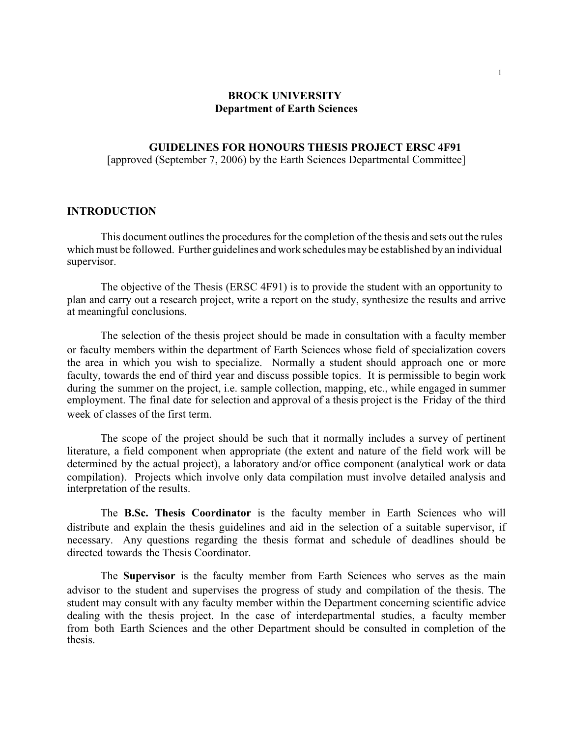## **BROCK UNIVERSITY Department of Earth Sciences**

#### **GUIDELINES FOR HONOURS THESIS PROJECT ERSC 4F91**  [approved (September 7, 2006) by the Earth Sciences Departmental Committee]

#### **INTRODUCTION**

This document outlines the procedures for the completion of the thesis and sets out the rules which must be followed. Further guidelines and work schedules may be established by an individual supervisor.

The objective of the Thesis (ERSC 4F91) is to provide the student with an opportunity to plan and carry out a research project, write a report on the study, synthesize the results and arrive at meaningful conclusions.

The selection of the thesis project should be made in consultation with a faculty member or faculty members within the department of Earth Sciences whose field of specialization covers the area in which you wish to specialize. Normally a student should approach one or more faculty, towards the end of third year and discuss possible topics. It is permissible to begin work during the summer on the project, i.e. sample collection, mapping, etc., while engaged in summer employment. The final date for selection and approval of a thesis project is the Friday of the third week of classes of the first term.

The scope of the project should be such that it normally includes a survey of pertinent literature, a field component when appropriate (the extent and nature of the field work will be determined by the actual project), a laboratory and/or office component (analytical work or data compilation). Projects which involve only data compilation must involve detailed analysis and interpretation of the results.

The **B.Sc. Thesis Coordinator** is the faculty member in Earth Sciences who will distribute and explain the thesis guidelines and aid in the selection of a suitable supervisor, if necessary. Any questions regarding the thesis format and schedule of deadlines should be directed towards the Thesis Coordinator.

The **Supervisor** is the faculty member from Earth Sciences who serves as the main advisor to the student and supervises the progress of study and compilation of the thesis. The student may consult with any faculty member within the Department concerning scientific advice dealing with the thesis project. In the case of interdepartmental studies, a faculty member from both Earth Sciences and the other Department should be consulted in completion of the thesis.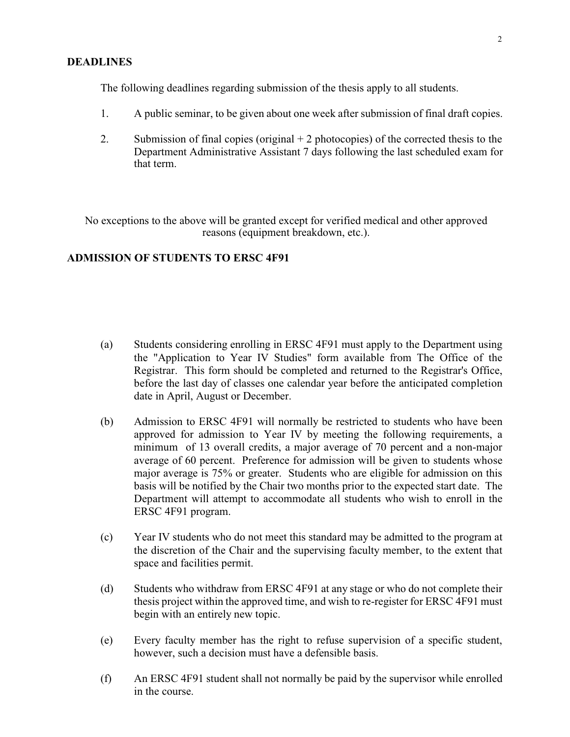### **DEADLINES**

The following deadlines regarding submission of the thesis apply to all students.

- 1. A public seminar, to be given about one week after submission of final draft copies.
- 2. Submission of final copies (original  $+2$  photocopies) of the corrected thesis to the Department Administrative Assistant 7 days following the last scheduled exam for that term.

No exceptions to the above will be granted except for verified medical and other approved reasons (equipment breakdown, etc.).

### **ADMISSION OF STUDENTS TO ERSC 4F91**

- (a) Students considering enrolling in ERSC 4F91 must apply to the Department using the "Application to Year IV Studies" form available from The Office of the Registrar. This form should be completed and returned to the Registrar's Office, before the last day of classes one calendar year before the anticipated completion date in April, August or December.
- (b) Admission to ERSC 4F91 will normally be restricted to students who have been approved for admission to Year IV by meeting the following requirements, a minimum of 13 overall credits, a major average of 70 percent and a non-major average of 60 percent. Preference for admission will be given to students whose major average is 75% or greater. Students who are eligible for admission on this basis will be notified by the Chair two months prior to the expected start date. The Department will attempt to accommodate all students who wish to enroll in the ERSC 4F91 program.
- (c) Year IV students who do not meet this standard may be admitted to the program at the discretion of the Chair and the supervising faculty member, to the extent that space and facilities permit.
- (d) Students who withdraw from ERSC 4F91 at any stage or who do not complete their thesis project within the approved time, and wish to re-register for ERSC 4F91 must begin with an entirely new topic.
- (e) Every faculty member has the right to refuse supervision of a specific student, however, such a decision must have a defensible basis.
- (f) An ERSC 4F91 student shall not normally be paid by the supervisor while enrolled in the course.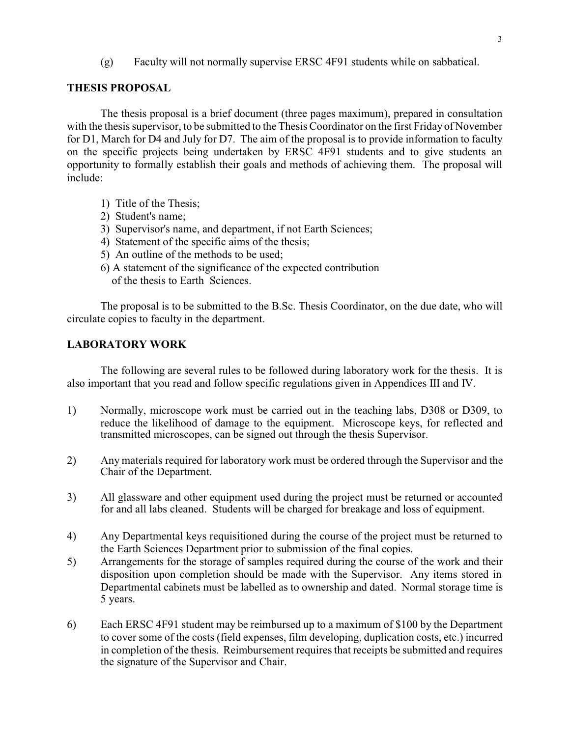(g) Faculty will not normally supervise ERSC 4F91 students while on sabbatical.

## **THESIS PROPOSAL**

The thesis proposal is a brief document (three pages maximum), prepared in consultation with the thesis supervisor, to be submitted to the Thesis Coordinator on the first Friday of November for D1, March for D4 and July for D7. The aim of the proposal is to provide information to faculty on the specific projects being undertaken by ERSC 4F91 students and to give students an opportunity to formally establish their goals and methods of achieving them. The proposal will include:

- 1) Title of the Thesis;
- 2) Student's name;
- 3) Supervisor's name, and department, if not Earth Sciences;
- 4) Statement of the specific aims of the thesis;
- 5) An outline of the methods to be used;
- 6) A statement of the significance of the expected contribution of the thesis to Earth Sciences.

The proposal is to be submitted to the B.Sc. Thesis Coordinator, on the due date, who will circulate copies to faculty in the department.

# **LABORATORY WORK**

The following are several rules to be followed during laboratory work for the thesis. It is also important that you read and follow specific regulations given in Appendices III and IV.

- 1) Normally, microscope work must be carried out in the teaching labs, D308 or D309, to reduce the likelihood of damage to the equipment. Microscope keys, for reflected and transmitted microscopes, can be signed out through the thesis Supervisor.
- 2) Any materials required for laboratory work must be ordered through the Supervisor and the Chair of the Department.
- 3) All glassware and other equipment used during the project must be returned or accounted for and all labs cleaned. Students will be charged for breakage and loss of equipment.
- 4) Any Departmental keys requisitioned during the course of the project must be returned to the Earth Sciences Department prior to submission of the final copies.
- 5) Arrangements for the storage of samples required during the course of the work and their disposition upon completion should be made with the Supervisor. Any items stored in Departmental cabinets must be labelled as to ownership and dated. Normal storage time is 5 years.
- 6) Each ERSC 4F91 student may be reimbursed up to a maximum of \$100 by the Department to cover some of the costs (field expenses, film developing, duplication costs, etc.) incurred in completion of the thesis. Reimbursement requires that receipts be submitted and requires the signature of the Supervisor and Chair.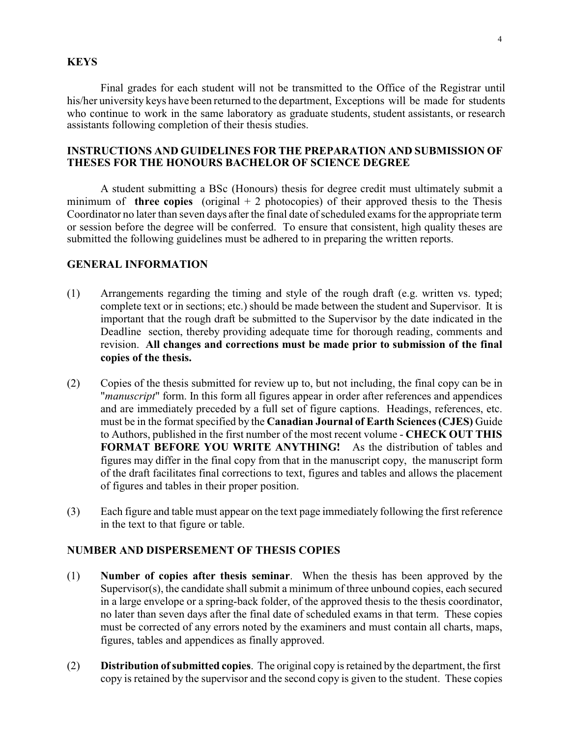### **KEYS**

Final grades for each student will not be transmitted to the Office of the Registrar until his/her university keys have been returned to the department, Exceptions will be made for students who continue to work in the same laboratory as graduate students, student assistants, or research assistants following completion of their thesis studies.

# **INSTRUCTIONS AND GUIDELINES FOR THE PREPARATION AND SUBMISSION OF THESES FOR THE HONOURS BACHELOR OF SCIENCE DEGREE**

A student submitting a BSc (Honours) thesis for degree credit must ultimately submit a minimum of **three copies** (original  $+2$  photocopies) of their approved thesis to the Thesis Coordinator no later than seven days after the final date of scheduled exams for the appropriate term or session before the degree will be conferred. To ensure that consistent, high quality theses are submitted the following guidelines must be adhered to in preparing the written reports.

### **GENERAL INFORMATION**

- (1) Arrangements regarding the timing and style of the rough draft (e.g. written vs. typed; complete text or in sections; etc.) should be made between the student and Supervisor. It is important that the rough draft be submitted to the Supervisor by the date indicated in the Deadline section, thereby providing adequate time for thorough reading, comments and revision. **All changes and corrections must be made prior to submission of the final copies of the thesis.**
- (2) Copies of the thesis submitted for review up to, but not including, the final copy can be in "*manuscript*" form. In this form all figures appear in order after references and appendices and are immediately preceded by a full set of figure captions. Headings, references, etc. must be in the format specified by the **Canadian Journal of Earth Sciences (CJES)** Guide to Authors, published in the first number of the most recent volume - **CHECK OUT THIS FORMAT BEFORE YOU WRITE ANYTHING!** As the distribution of tables and figures may differ in the final copy from that in the manuscript copy, the manuscript form of the draft facilitates final corrections to text, figures and tables and allows the placement of figures and tables in their proper position.
- (3) Each figure and table must appear on the text page immediately following the first reference in the text to that figure or table.

# **NUMBER AND DISPERSEMENT OF THESIS COPIES**

- (1) **Number of copies after thesis seminar**. When the thesis has been approved by the Supervisor(s), the candidate shall submit a minimum of three unbound copies, each secured in a large envelope or a spring-back folder, of the approved thesis to the thesis coordinator, no later than seven days after the final date of scheduled exams in that term. These copies must be corrected of any errors noted by the examiners and must contain all charts, maps, figures, tables and appendices as finally approved.
- (2) **Distribution of submitted copies**. The original copy is retained by the department, the first copy is retained by the supervisor and the second copy is given to the student. These copies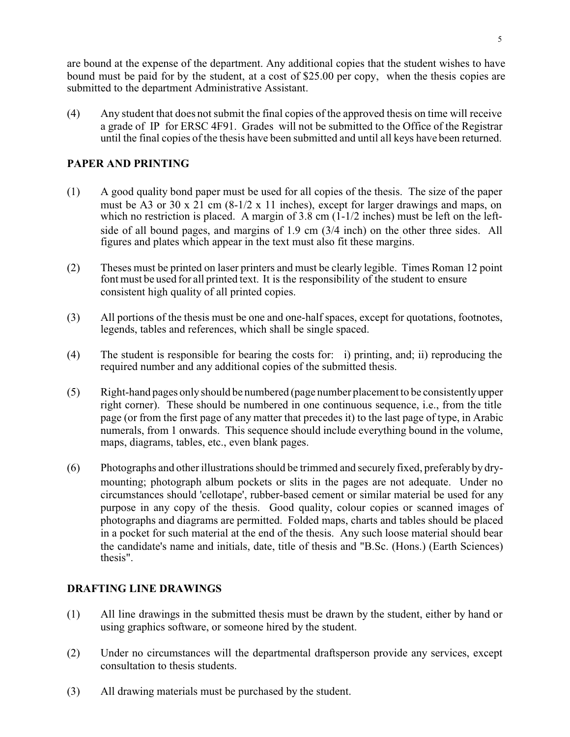are bound at the expense of the department. Any additional copies that the student wishes to have bound must be paid for by the student, at a cost of \$25.00 per copy, when the thesis copies are submitted to the department Administrative Assistant.

(4) Any student that does not submit the final copies of the approved thesis on time will receive a grade of IP for ERSC 4F91. Grades will not be submitted to the Office of the Registrar until the final copies of the thesis have been submitted and until all keys have been returned.

# **PAPER AND PRINTING**

- (1) A good quality bond paper must be used for all copies of the thesis. The size of the paper must be A3 or 30 x 21 cm (8-1/2 x 11 inches), except for larger drawings and maps, on which no restriction is placed. A margin of  $3.\dot{8}$  cm (1-1/2 inches) must be left on the leftside of all bound pages, and margins of 1.9 cm (3/4 inch) on the other three sides. All figures and plates which appear in the text must also fit these margins.
- (2) Theses must be printed on laser printers and must be clearly legible. Times Roman 12 point font must be used for all printed text. It is the responsibility of the student to ensure consistent high quality of all printed copies.
- (3) All portions of the thesis must be one and one-half spaces, except for quotations, footnotes, legends, tables and references, which shall be single spaced.
- (4) The student is responsible for bearing the costs for: i) printing, and; ii) reproducing the required number and any additional copies of the submitted thesis.
- (5) Right-hand pages only should be numbered (page number placement to be consistently upper right corner). These should be numbered in one continuous sequence, i.e., from the title page (or from the first page of any matter that precedes it) to the last page of type, in Arabic numerals, from 1 onwards. This sequence should include everything bound in the volume, maps, diagrams, tables, etc., even blank pages.
- (6) Photographs and other illustrations should be trimmed and securely fixed, preferably by drymounting; photograph album pockets or slits in the pages are not adequate. Under no circumstances should 'cellotape', rubber-based cement or similar material be used for any purpose in any copy of the thesis. Good quality, colour copies or scanned images of photographs and diagrams are permitted. Folded maps, charts and tables should be placed in a pocket for such material at the end of the thesis. Any such loose material should bear the candidate's name and initials, date, title of thesis and "B.Sc. (Hons.) (Earth Sciences) thesis".

# **DRAFTING LINE DRAWINGS**

- (1) All line drawings in the submitted thesis must be drawn by the student, either by hand or using graphics software, or someone hired by the student.
- (2) Under no circumstances will the departmental draftsperson provide any services, except consultation to thesis students.
- (3) All drawing materials must be purchased by the student.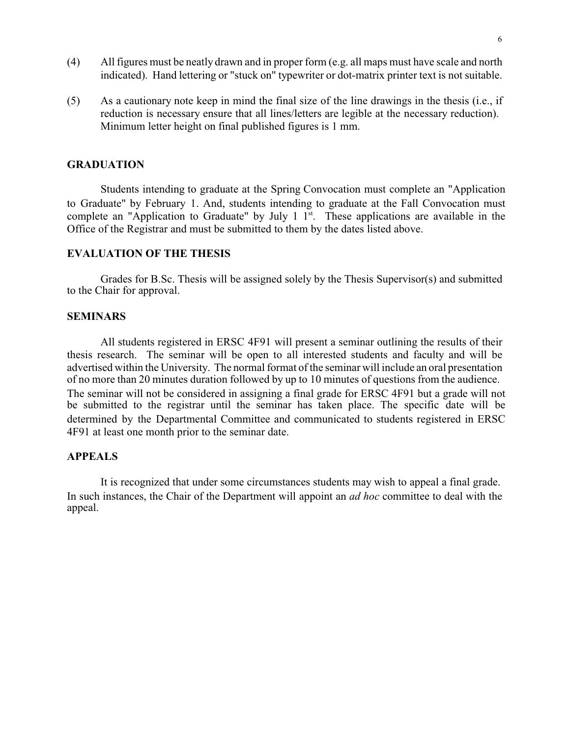- (4) All figures must be neatly drawn and in proper form (e.g. all maps must have scale and north indicated). Hand lettering or "stuck on" typewriter or dot-matrix printer text is not suitable.
- (5) As a cautionary note keep in mind the final size of the line drawings in the thesis (i.e., if reduction is necessary ensure that all lines/letters are legible at the necessary reduction). Minimum letter height on final published figures is 1 mm.

### **GRADUATION**

Students intending to graduate at the Spring Convocation must complete an "Application to Graduate" by February 1. And, students intending to graduate at the Fall Convocation must complete an "Application to Graduate" by July 1  $1<sup>st</sup>$ . These applications are available in the Office of the Registrar and must be submitted to them by the dates listed above.

# **EVALUATION OF THE THESIS**

Grades for B.Sc. Thesis will be assigned solely by the Thesis Supervisor(s) and submitted to the Chair for approval.

#### **SEMINARS**

All students registered in ERSC 4F91 will present a seminar outlining the results of their thesis research. The seminar will be open to all interested students and faculty and will be advertised within the University. The normal format of the seminar will include an oral presentation of no more than 20 minutes duration followed by up to 10 minutes of questions from the audience. The seminar will not be considered in assigning a final grade for ERSC 4F91 but a grade will not be submitted to the registrar until the seminar has taken place. The specific date will be determined by the Departmental Committee and communicated to students registered in ERSC 4F91 at least one month prior to the seminar date.

# **APPEALS**

It is recognized that under some circumstances students may wish to appeal a final grade. In such instances, the Chair of the Department will appoint an *ad hoc* committee to deal with the appeal.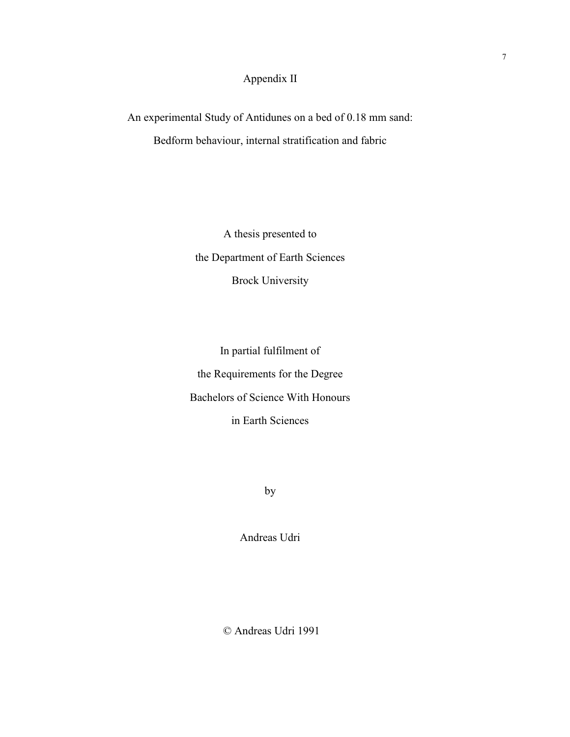# Appendix II

An experimental Study of Antidunes on a bed of 0.18 mm sand: Bedform behaviour, internal stratification and fabric

> A thesis presented to the Department of Earth Sciences Brock University

In partial fulfilment of the Requirements for the Degree Bachelors of Science With Honours in Earth Sciences

by

Andreas Udri

© Andreas Udri 1991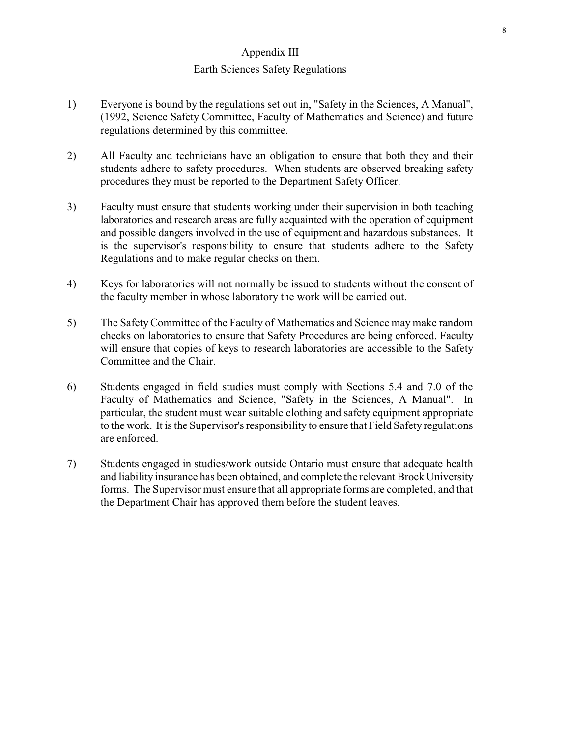## Appendix III

### Earth Sciences Safety Regulations

- 1) Everyone is bound by the regulations set out in, "Safety in the Sciences, A Manual", (1992, Science Safety Committee, Faculty of Mathematics and Science) and future regulations determined by this committee.
- 2) All Faculty and technicians have an obligation to ensure that both they and their students adhere to safety procedures. When students are observed breaking safety procedures they must be reported to the Department Safety Officer.
- 3) Faculty must ensure that students working under their supervision in both teaching laboratories and research areas are fully acquainted with the operation of equipment and possible dangers involved in the use of equipment and hazardous substances. It is the supervisor's responsibility to ensure that students adhere to the Safety Regulations and to make regular checks on them.
- 4) Keys for laboratories will not normally be issued to students without the consent of the faculty member in whose laboratory the work will be carried out.
- 5) The Safety Committee of the Faculty of Mathematics and Science may make random checks on laboratories to ensure that Safety Procedures are being enforced. Faculty will ensure that copies of keys to research laboratories are accessible to the Safety Committee and the Chair.
- 6) Students engaged in field studies must comply with Sections 5.4 and 7.0 of the Faculty of Mathematics and Science, "Safety in the Sciences, A Manual". In particular, the student must wear suitable clothing and safety equipment appropriate to the work. It is the Supervisor's responsibility to ensure that Field Safety regulations are enforced.
- 7) Students engaged in studies/work outside Ontario must ensure that adequate health and liability insurance has been obtained, and complete the relevant Brock University forms. The Supervisor must ensure that all appropriate forms are completed, and that the Department Chair has approved them before the student leaves.